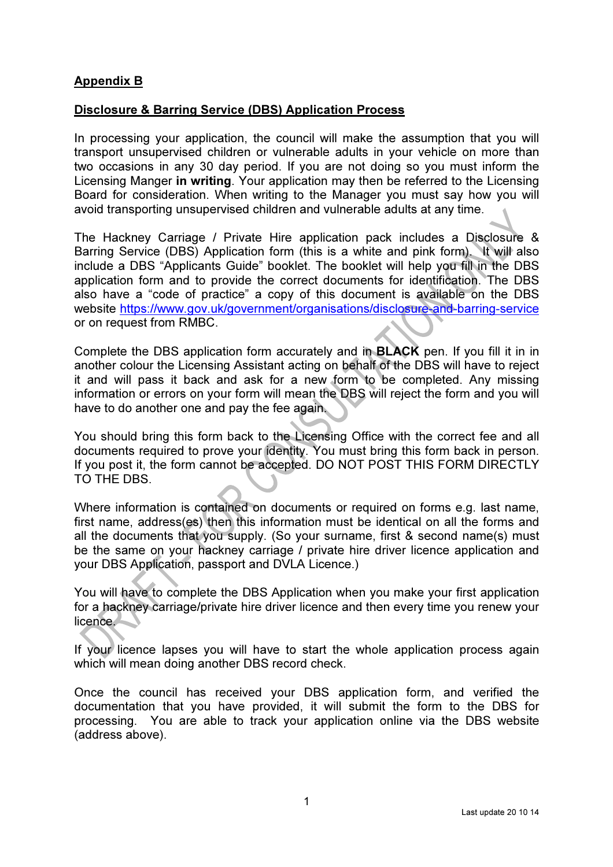## Appendix B

## Disclosure & Barring Service (DBS) Application Process

In processing your application, the council will make the assumption that you will transport unsupervised children or vulnerable adults in your vehicle on more than two occasions in any 30 day period. If you are not doing so you must inform the Licensing Manger in writing. Your application may then be referred to the Licensing Board for consideration. When writing to the Manager you must say how you will avoid transporting unsupervised children and vulnerable adults at any time.

The Hackney Carriage / Private Hire application pack includes a Disclosure & Barring Service (DBS) Application form (this is a white and pink form). It will also include a DBS "Applicants Guide" booklet. The booklet will help you fill in the DBS application form and to provide the correct documents for identification. The DBS also have a "code of practice" a copy of this document is available on the DBS website https://www.gov.uk/government/organisations/disclosure-and-barring-service or on request from RMBC.

Complete the DBS application form accurately and in BLACK pen. If you fill it in in another colour the Licensing Assistant acting on behalf of the DBS will have to reject it and will pass it back and ask for a new form to be completed. Any missing information or errors on your form will mean the DBS will reject the form and you will have to do another one and pay the fee again.

You should bring this form back to the Licensing Office with the correct fee and all documents required to prove your identity. You must bring this form back in person. If you post it, the form cannot be accepted. DO NOT POST THIS FORM DIRECTLY TO THE DBS.

Where information is contained on documents or required on forms e.g. last name, first name, address(es) then this information must be identical on all the forms and all the documents that you supply. (So your surname, first & second name(s) must be the same on your hackney carriage / private hire driver licence application and your DBS Application, passport and DVLA Licence.)

You will have to complete the DBS Application when you make your first application for a hackney carriage/private hire driver licence and then every time you renew your licence.

If your licence lapses you will have to start the whole application process again which will mean doing another DBS record check.

Once the council has received your DBS application form, and verified the documentation that you have provided, it will submit the form to the DBS for processing. You are able to track your application online via the DBS website (address above).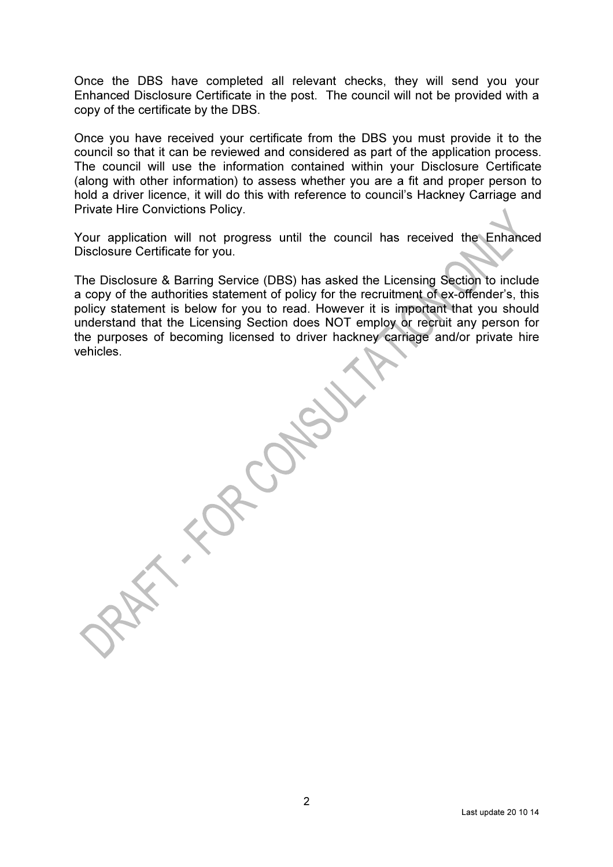Once the DBS have completed all relevant checks, they will send you your Enhanced Disclosure Certificate in the post. The council will not be provided with a copy of the certificate by the DBS.

Once you have received your certificate from the DBS you must provide it to the council so that it can be reviewed and considered as part of the application process. The council will use the information contained within your Disclosure Certificate (along with other information) to assess whether you are a fit and proper person to hold a driver licence, it will do this with reference to council's Hackney Carriage and Private Hire Convictions Policy.

Your application will not progress until the council has received the Enhanced Disclosure Certificate for you.

The Disclosure & Barring Service (DBS) has asked the Licensing Section to include a copy of the authorities statement of policy for the recruitment of ex-offender's, this policy statement is below for you to read. However it is important that you should understand that the Licensing Section does NOT employ or recruit any person for the purposes of becoming licensed to driver hackney carriage and/or private hire vehicles.